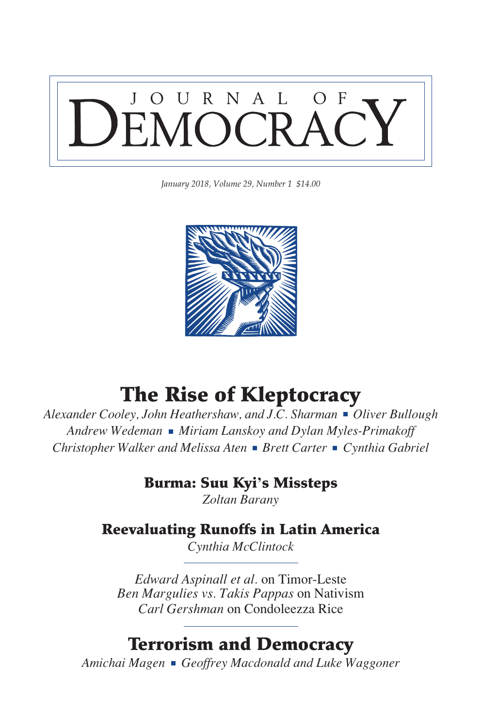

*January 2018, Volume 29, Number 1 \$14.00*



# The Rise of Kleptocracy

*Alexander Cooley, John Heathershaw, and J.C. Sharman*  $\blacksquare$  *Oliver Bullough Andrew Wedeman Miriam Lanskoy and Dylan Myles-Primakoff Christopher Walker and Melissa Aten Brett Carter Cynthia Gabriel*

Burma: Suu Kyi**'**s Missteps

*Zoltan Barany*

Reevaluating Runoffs in Latin America

*Cynthia McClintock*

*Edward Aspinall et al.* on Timor-Leste *Ben Margulies vs. Takis Pappas* on Nativism *Carl Gershman* on Condoleezza Rice

### Terrorism and Democracy

*Amichai Magen Geoffrey Macdonald and Luke Waggoner*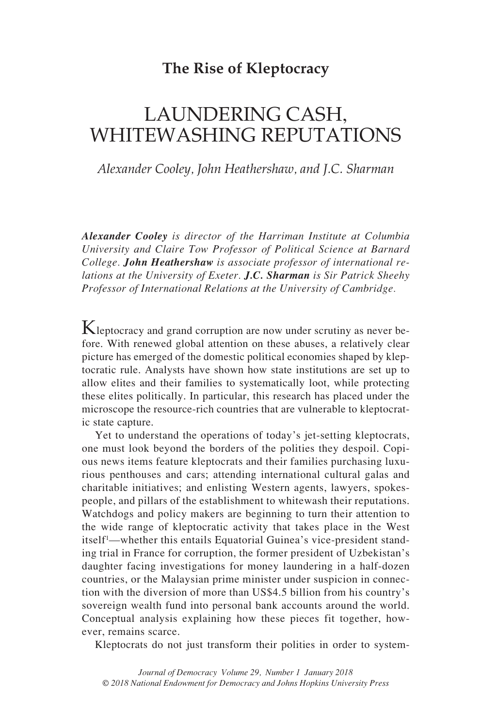### **The Rise of Kleptocracy**

## Laundering Cash, WhiteWashing Reputations

*Alexander Cooley, John Heathershaw, and J.C. Sharman*

*Alexander Cooley is director of the Harriman Institute at Columbia University and Claire Tow Professor of Political Science at Barnard College. John Heathershaw is associate professor of international relations at the University of Exeter. J.C. Sharman is Sir Patrick Sheehy Professor of International Relations at the University of Cambridge.*

Kleptocracy and grand corruption are now under scrutiny as never before. With renewed global attention on these abuses, a relatively clear picture has emerged of the domestic political economies shaped by kleptocratic rule. Analysts have shown how state institutions are set up to allow elites and their families to systematically loot, while protecting these elites politically. In particular, this research has placed under the microscope the resource-rich countries that are vulnerable to kleptocratic state capture.

Yet to understand the operations of today's jet-setting kleptocrats, one must look beyond the borders of the polities they despoil. Copious news items feature kleptocrats and their families purchasing luxurious penthouses and cars; attending international cultural galas and charitable initiatives; and enlisting Western agents, lawyers, spokespeople, and pillars of the establishment to whitewash their reputations. Watchdogs and policy makers are beginning to turn their attention to the wide range of kleptocratic activity that takes place in the West itself<sup>1</sup>—whether this entails Equatorial Guinea's vice-president standing trial in France for corruption, the former president of Uzbekistan's daughter facing investigations for money laundering in a half-dozen countries, or the Malaysian prime minister under suspicion in connection with the diversion of more than US\$4.5 billion from his country's sovereign wealth fund into personal bank accounts around the world. Conceptual analysis explaining how these pieces fit together, however, remains scarce.

Kleptocrats do not just transform their polities in order to system-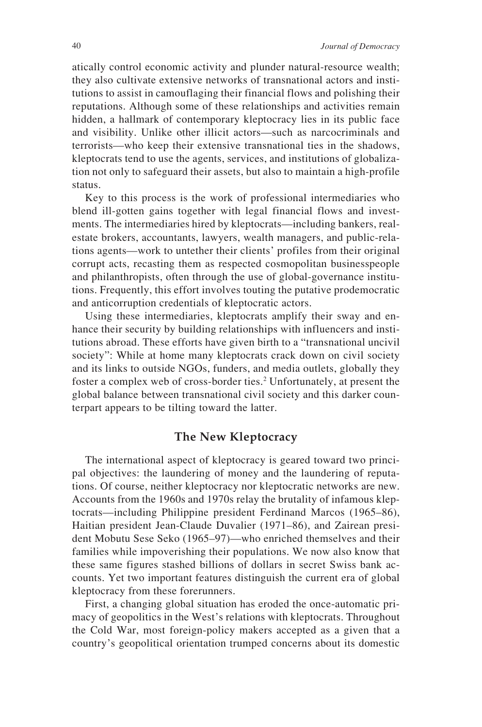atically control economic activity and plunder natural-resource wealth; they also cultivate extensive networks of transnational actors and institutions to assist in camouflaging their financial flows and polishing their reputations. Although some of these relationships and activities remain hidden, a hallmark of contemporary kleptocracy lies in its public face and visibility. Unlike other illicit actors—such as narcocriminals and terrorists—who keep their extensive transnational ties in the shadows, kleptocrats tend to use the agents, services, and institutions of globalization not only to safeguard their assets, but also to maintain a high-profile status.

Key to this process is the work of professional intermediaries who blend ill-gotten gains together with legal financial flows and investments. The intermediaries hired by kleptocrats—including bankers, realestate brokers, accountants, lawyers, wealth managers, and public-relations agents—work to untether their clients' profiles from their original corrupt acts, recasting them as respected cosmopolitan businesspeople and philanthropists, often through the use of global-governance institutions. Frequently, this effort involves touting the putative prodemocratic and anticorruption credentials of kleptocratic actors.

Using these intermediaries, kleptocrats amplify their sway and enhance their security by building relationships with influencers and institutions abroad. These efforts have given birth to a "transnational uncivil society": While at home many kleptocrats crack down on civil society and its links to outside NGOs, funders, and media outlets, globally they foster a complex web of cross-border ties.<sup>2</sup> Unfortunately, at present the global balance between transnational civil society and this darker counterpart appears to be tilting toward the latter.

#### **The New Kleptocracy**

The international aspect of kleptocracy is geared toward two principal objectives: the laundering of money and the laundering of reputations. Of course, neither kleptocracy nor kleptocratic networks are new. Accounts from the 1960s and 1970s relay the brutality of infamous kleptocrats—including Philippine president Ferdinand Marcos (1965–86), Haitian president Jean-Claude Duvalier (1971–86), and Zairean president Mobutu Sese Seko (1965–97)—who enriched themselves and their families while impoverishing their populations. We now also know that these same figures stashed billions of dollars in secret Swiss bank accounts. Yet two important features distinguish the current era of global kleptocracy from these forerunners.

First, a changing global situation has eroded the once-automatic primacy of geopolitics in the West's relations with kleptocrats. Throughout the Cold War, most foreign-policy makers accepted as a given that a country's geopolitical orientation trumped concerns about its domestic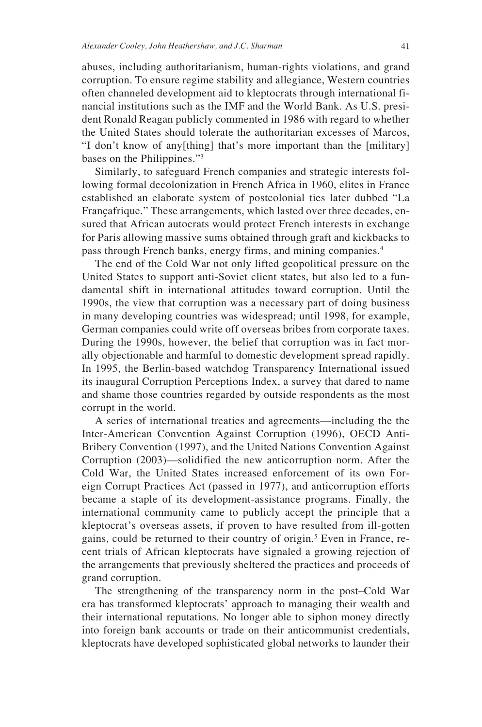abuses, including authoritarianism, human-rights violations, and grand corruption. To ensure regime stability and allegiance, Western countries often channeled development aid to kleptocrats through international financial institutions such as the IMF and the World Bank. As U.S. president Ronald Reagan publicly commented in 1986 with regard to whether the United States should tolerate the authoritarian excesses of Marcos, "I don't know of any[thing] that's more important than the [military] bases on the Philippines."3

Similarly, to safeguard French companies and strategic interests following formal decolonization in French Africa in 1960, elites in France established an elaborate system of postcolonial ties later dubbed "La Françafrique." These arrangements, which lasted over three decades, ensured that African autocrats would protect French interests in exchange for Paris allowing massive sums obtained through graft and kickbacks to pass through French banks, energy firms, and mining companies.4

The end of the Cold War not only lifted geopolitical pressure on the United States to support anti-Soviet client states, but also led to a fundamental shift in international attitudes toward corruption. Until the 1990s, the view that corruption was a necessary part of doing business in many developing countries was widespread; until 1998, for example, German companies could write off overseas bribes from corporate taxes. During the 1990s, however, the belief that corruption was in fact morally objectionable and harmful to domestic development spread rapidly. In 1995, the Berlin-based watchdog Transparency International issued its inaugural Corruption Perceptions Index, a survey that dared to name and shame those countries regarded by outside respondents as the most corrupt in the world.

A series of international treaties and agreements—including the the Inter-American Convention Against Corruption (1996), OECD Anti-Bribery Convention (1997), and the United Nations Convention Against Corruption (2003)—solidified the new anticorruption norm. After the Cold War, the United States increased enforcement of its own Foreign Corrupt Practices Act (passed in 1977), and anticorruption efforts became a staple of its development-assistance programs. Finally, the international community came to publicly accept the principle that a kleptocrat's overseas assets, if proven to have resulted from ill-gotten gains, could be returned to their country of origin.<sup>5</sup> Even in France, recent trials of African kleptocrats have signaled a growing rejection of the arrangements that previously sheltered the practices and proceeds of grand corruption.

The strengthening of the transparency norm in the post–Cold War era has transformed kleptocrats' approach to managing their wealth and their international reputations. No longer able to siphon money directly into foreign bank accounts or trade on their anticommunist credentials, kleptocrats have developed sophisticated global networks to launder their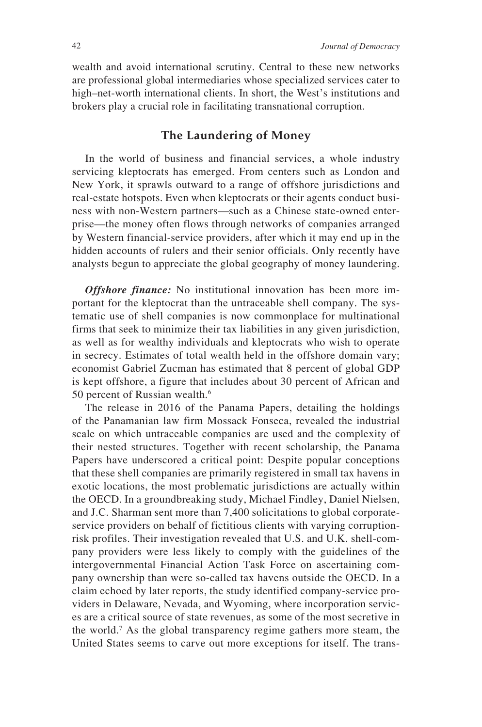wealth and avoid international scrutiny. Central to these new networks are professional global intermediaries whose specialized services cater to high–net-worth international clients. In short, the West's institutions and brokers play a crucial role in facilitating transnational corruption.

#### **The Laundering of Money**

In the world of business and financial services, a whole industry servicing kleptocrats has emerged. From centers such as London and New York, it sprawls outward to a range of offshore jurisdictions and real-estate hotspots. Even when kleptocrats or their agents conduct business with non-Western partners—such as a Chinese state-owned enterprise—the money often flows through networks of companies arranged by Western financial-service providers, after which it may end up in the hidden accounts of rulers and their senior officials. Only recently have analysts begun to appreciate the global geography of money laundering.

*Offshore finance:* No institutional innovation has been more important for the kleptocrat than the untraceable shell company. The systematic use of shell companies is now commonplace for multinational firms that seek to minimize their tax liabilities in any given jurisdiction, as well as for wealthy individuals and kleptocrats who wish to operate in secrecy. Estimates of total wealth held in the offshore domain vary; economist Gabriel Zucman has estimated that 8 percent of global GDP is kept offshore, a figure that includes about 30 percent of African and 50 percent of Russian wealth.<sup>6</sup>

The release in 2016 of the Panama Papers, detailing the holdings of the Panamanian law firm Mossack Fonseca, revealed the industrial scale on which untraceable companies are used and the complexity of their nested structures. Together with recent scholarship, the Panama Papers have underscored a critical point: Despite popular conceptions that these shell companies are primarily registered in small tax havens in exotic locations, the most problematic jurisdictions are actually within the OECD. In a groundbreaking study, Michael Findley, Daniel Nielsen, and J.C. Sharman sent more than 7,400 solicitations to global corporateservice providers on behalf of fictitious clients with varying corruptionrisk profiles. Their investigation revealed that U.S. and U.K. shell-company providers were less likely to comply with the guidelines of the intergovernmental Financial Action Task Force on ascertaining company ownership than were so-called tax havens outside the OECD. In a claim echoed by later reports, the study identified company-service providers in Delaware, Nevada, and Wyoming, where incorporation services are a critical source of state revenues, as some of the most secretive in the world.7 As the global transparency regime gathers more steam, the United States seems to carve out more exceptions for itself. The trans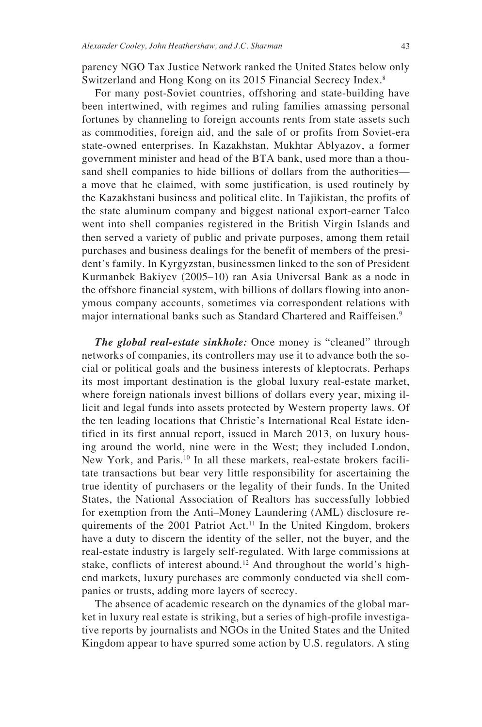parency NGO Tax Justice Network ranked the United States below only Switzerland and Hong Kong on its 2015 Financial Secrecy Index.<sup>8</sup>

For many post-Soviet countries, offshoring and state-building have been intertwined, with regimes and ruling families amassing personal fortunes by channeling to foreign accounts rents from state assets such as commodities, foreign aid, and the sale of or profits from Soviet-era state-owned enterprises. In Kazakhstan, Mukhtar Ablyazov, a former government minister and head of the BTA bank, used more than a thousand shell companies to hide billions of dollars from the authorities a move that he claimed, with some justification, is used routinely by the Kazakhstani business and political elite. In Tajikistan, the profits of the state aluminum company and biggest national export-earner Talco went into shell companies registered in the British Virgin Islands and then served a variety of public and private purposes, among them retail purchases and business dealings for the benefit of members of the president's family. In Kyrgyzstan, businessmen linked to the son of President Kurmanbek Bakiyev (2005–10) ran Asia Universal Bank as a node in the offshore financial system, with billions of dollars flowing into anonymous company accounts, sometimes via correspondent relations with major international banks such as Standard Chartered and Raiffeisen.<sup>9</sup>

*The global real-estate sinkhole:* Once money is "cleaned" through networks of companies, its controllers may use it to advance both the social or political goals and the business interests of kleptocrats. Perhaps its most important destination is the global luxury real-estate market, where foreign nationals invest billions of dollars every year, mixing illicit and legal funds into assets protected by Western property laws. Of the ten leading locations that Christie's International Real Estate identified in its first annual report, issued in March 2013, on luxury housing around the world, nine were in the West; they included London, New York, and Paris.10 In all these markets, real-estate brokers facilitate transactions but bear very little responsibility for ascertaining the true identity of purchasers or the legality of their funds. In the United States, the National Association of Realtors has successfully lobbied for exemption from the Anti–Money Laundering (AML) disclosure requirements of the 2001 Patriot Act.<sup>11</sup> In the United Kingdom, brokers have a duty to discern the identity of the seller, not the buyer, and the real-estate industry is largely self-regulated. With large commissions at stake, conflicts of interest abound.<sup>12</sup> And throughout the world's highend markets, luxury purchases are commonly conducted via shell companies or trusts, adding more layers of secrecy.

The absence of academic research on the dynamics of the global market in luxury real estate is striking, but a series of high-profile investigative reports by journalists and NGOs in the United States and the United Kingdom appear to have spurred some action by U.S. regulators. A sting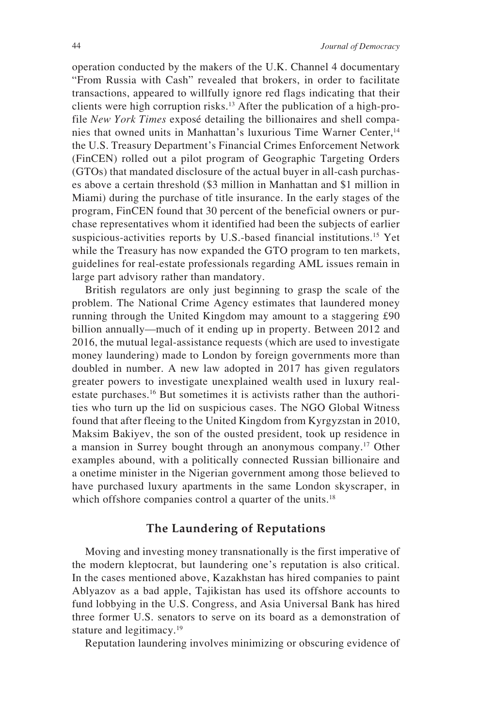operation conducted by the makers of the U.K. Channel 4 documentary "From Russia with Cash" revealed that brokers, in order to facilitate transactions, appeared to willfully ignore red flags indicating that their clients were high corruption risks.13 After the publication of a high-profile *New York Times* exposé detailing the billionaires and shell companies that owned units in Manhattan's luxurious Time Warner Center,<sup>14</sup> the U.S. Treasury Department's Financial Crimes Enforcement Network (FinCEN) rolled out a pilot program of Geographic Targeting Orders (GTOs) that mandated disclosure of the actual buyer in all-cash purchases above a certain threshold (\$3 million in Manhattan and \$1 million in Miami) during the purchase of title insurance. In the early stages of the program, FinCEN found that 30 percent of the beneficial owners or purchase representatives whom it identified had been the subjects of earlier suspicious-activities reports by U.S.-based financial institutions.<sup>15</sup> Yet while the Treasury has now expanded the GTO program to ten markets, guidelines for real-estate professionals regarding AML issues remain in large part advisory rather than mandatory.

British regulators are only just beginning to grasp the scale of the problem. The National Crime Agency estimates that laundered money running through the United Kingdom may amount to a staggering £90 billion annually—much of it ending up in property. Between 2012 and 2016, the mutual legal-assistance requests (which are used to investigate money laundering) made to London by foreign governments more than doubled in number. A new law adopted in 2017 has given regulators greater powers to investigate unexplained wealth used in luxury realestate purchases.16 But sometimes it is activists rather than the authorities who turn up the lid on suspicious cases. The NGO Global Witness found that after fleeing to the United Kingdom from Kyrgyzstan in 2010, Maksim Bakiyev, the son of the ousted president, took up residence in a mansion in Surrey bought through an anonymous company.17 Other examples abound, with a politically connected Russian billionaire and a onetime minister in the Nigerian government among those believed to have purchased luxury apartments in the same London skyscraper, in which offshore companies control a quarter of the units.<sup>18</sup>

#### **The Laundering of Reputations**

Moving and investing money transnationally is the first imperative of the modern kleptocrat, but laundering one's reputation is also critical. In the cases mentioned above, Kazakhstan has hired companies to paint Ablyazov as a bad apple, Tajikistan has used its offshore accounts to fund lobbying in the U.S. Congress, and Asia Universal Bank has hired three former U.S. senators to serve on its board as a demonstration of stature and legitimacy.<sup>19</sup>

Reputation laundering involves minimizing or obscuring evidence of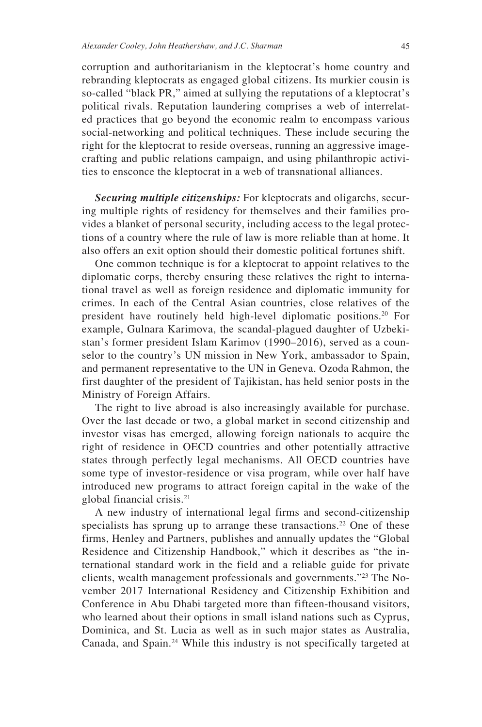corruption and authoritarianism in the kleptocrat's home country and rebranding kleptocrats as engaged global citizens. Its murkier cousin is so-called "black PR," aimed at sullying the reputations of a kleptocrat's political rivals. Reputation laundering comprises a web of interrelated practices that go beyond the economic realm to encompass various social-networking and political techniques. These include securing the right for the kleptocrat to reside overseas, running an aggressive imagecrafting and public relations campaign, and using philanthropic activities to ensconce the kleptocrat in a web of transnational alliances.

*Securing multiple citizenships:* For kleptocrats and oligarchs, securing multiple rights of residency for themselves and their families provides a blanket of personal security, including access to the legal protections of a country where the rule of law is more reliable than at home. It also offers an exit option should their domestic political fortunes shift.

One common technique is for a kleptocrat to appoint relatives to the diplomatic corps, thereby ensuring these relatives the right to international travel as well as foreign residence and diplomatic immunity for crimes. In each of the Central Asian countries, close relatives of the president have routinely held high-level diplomatic positions.<sup>20</sup> For example, Gulnara Karimova, the scandal-plagued daughter of Uzbekistan's former president Islam Karimov (1990–2016), served as a counselor to the country's UN mission in New York, ambassador to Spain, and permanent representative to the UN in Geneva. Ozoda Rahmon, the first daughter of the president of Tajikistan, has held senior posts in the Ministry of Foreign Affairs.

The right to live abroad is also increasingly available for purchase. Over the last decade or two, a global market in second citizenship and investor visas has emerged, allowing foreign nationals to acquire the right of residence in OECD countries and other potentially attractive states through perfectly legal mechanisms. All OECD countries have some type of investor-residence or visa program, while over half have introduced new programs to attract foreign capital in the wake of the global financial crisis.21

A new industry of international legal firms and second-citizenship specialists has sprung up to arrange these transactions.<sup>22</sup> One of these firms, Henley and Partners, publishes and annually updates the "Global Residence and Citizenship Handbook," which it describes as "the international standard work in the field and a reliable guide for private clients, wealth management professionals and governments."23 The November 2017 International Residency and Citizenship Exhibition and Conference in Abu Dhabi targeted more than fifteen-thousand visitors, who learned about their options in small island nations such as Cyprus, Dominica, and St. Lucia as well as in such major states as Australia, Canada, and Spain.24 While this industry is not specifically targeted at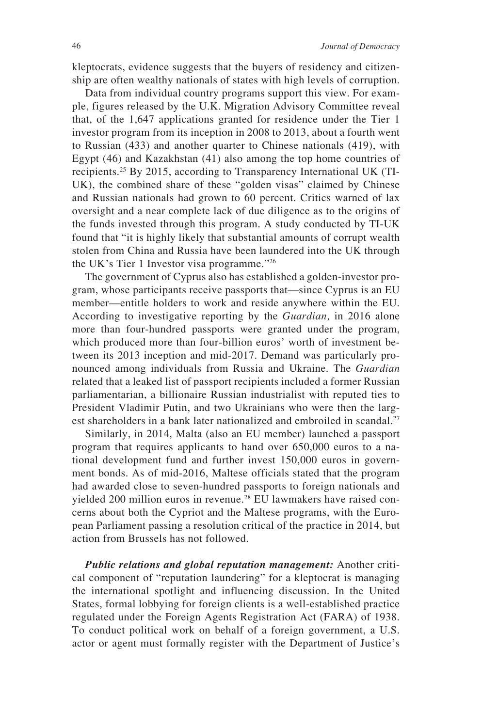kleptocrats, evidence suggests that the buyers of residency and citizenship are often wealthy nationals of states with high levels of corruption.

Data from individual country programs support this view. For example, figures released by the U.K. Migration Advisory Committee reveal that, of the 1,647 applications granted for residence under the Tier 1 investor program from its inception in 2008 to 2013, about a fourth went to Russian (433) and another quarter to Chinese nationals (419), with Egypt (46) and Kazakhstan (41) also among the top home countries of recipients.25 By 2015, according to Transparency International UK (TI-UK), the combined share of these "golden visas" claimed by Chinese and Russian nationals had grown to 60 percent. Critics warned of lax oversight and a near complete lack of due diligence as to the origins of the funds invested through this program. A study conducted by TI-UK found that "it is highly likely that substantial amounts of corrupt wealth stolen from China and Russia have been laundered into the UK through the UK's Tier 1 Investor visa programme."26

The government of Cyprus also has established a golden-investor program, whose participants receive passports that—since Cyprus is an EU member—entitle holders to work and reside anywhere within the EU. According to investigative reporting by the *Guardian,* in 2016 alone more than four-hundred passports were granted under the program, which produced more than four-billion euros' worth of investment between its 2013 inception and mid-2017. Demand was particularly pronounced among individuals from Russia and Ukraine. The *Guardian* related that a leaked list of passport recipients included a former Russian parliamentarian, a billionaire Russian industrialist with reputed ties to President Vladimir Putin, and two Ukrainians who were then the largest shareholders in a bank later nationalized and embroiled in scandal.<sup>27</sup>

Similarly, in 2014, Malta (also an EU member) launched a passport program that requires applicants to hand over 650,000 euros to a national development fund and further invest 150,000 euros in government bonds. As of mid-2016, Maltese officials stated that the program had awarded close to seven-hundred passports to foreign nationals and yielded 200 million euros in revenue.28 EU lawmakers have raised concerns about both the Cypriot and the Maltese programs, with the European Parliament passing a resolution critical of the practice in 2014, but action from Brussels has not followed.

*Public relations and global reputation management:* Another critical component of "reputation laundering" for a kleptocrat is managing the international spotlight and influencing discussion. In the United States, formal lobbying for foreign clients is a well-established practice regulated under the Foreign Agents Registration Act (FARA) of 1938. To conduct political work on behalf of a foreign government, a U.S. actor or agent must formally register with the Department of Justice's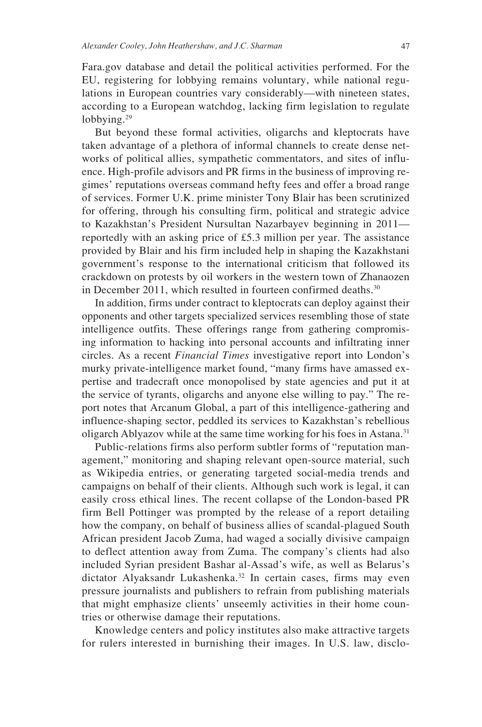Fara.gov database and detail the political activities performed. For the EU, registering for lobbying remains voluntary, while national regulations in European countries vary considerably—with nineteen states, according to a European watchdog, lacking firm legislation to regulate lobbying.<sup>29</sup>

But beyond these formal activities, oligarchs and kleptocrats have taken advantage of a plethora of informal channels to create dense networks of political allies, sympathetic commentators, and sites of influence. High-profile advisors and PR firms in the business of improving regimes' reputations overseas command hefty fees and offer a broad range of services. Former U.K. prime minister Tony Blair has been scrutinized for offering, through his consulting firm, political and strategic advice to Kazakhstan's President Nursultan Nazarbayev beginning in 2011 reportedly with an asking price of £5.3 million per year. The assistance provided by Blair and his firm included help in shaping the Kazakhstani government's response to the international criticism that followed its crackdown on protests by oil workers in the western town of Zhanaozen in December 2011, which resulted in fourteen confirmed deaths. $30$ 

In addition, firms under contract to kleptocrats can deploy against their opponents and other targets specialized services resembling those of state intelligence outfits. These offerings range from gathering compromising information to hacking into personal accounts and infiltrating inner circles. As a recent *Financial Times* investigative report into London's murky private-intelligence market found, "many firms have amassed expertise and tradecraft once monopolised by state agencies and put it at the service of tyrants, oligarchs and anyone else willing to pay." The report notes that Arcanum Global, a part of this intelligence-gathering and influence-shaping sector, peddled its services to Kazakhstan's rebellious oligarch Ablyazov while at the same time working for his foes in Astana.<sup>31</sup>

Public-relations firms also perform subtler forms of "reputation management," monitoring and shaping relevant open-source material, such as Wikipedia entries, or generating targeted social-media trends and campaigns on behalf of their clients. Although such work is legal, it can easily cross ethical lines. The recent collapse of the London-based PR firm Bell Pottinger was prompted by the release of a report detailing how the company, on behalf of business allies of scandal-plagued South African president Jacob Zuma, had waged a socially divisive campaign to deflect attention away from Zuma. The company's clients had also included Syrian president Bashar al-Assad's wife, as well as Belarus's dictator Alyaksandr Lukashenka.<sup>32</sup> In certain cases, firms may even pressure journalists and publishers to refrain from publishing materials that might emphasize clients' unseemly activities in their home countries or otherwise damage their reputations.

Knowledge centers and policy institutes also make attractive targets for rulers interested in burnishing their images. In U.S. law, disclo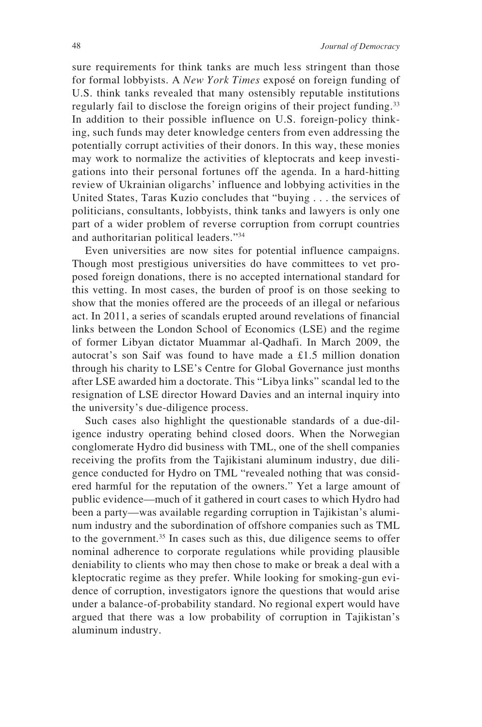sure requirements for think tanks are much less stringent than those for formal lobbyists. A *New York Times* exposé on foreign funding of U.S. think tanks revealed that many ostensibly reputable institutions regularly fail to disclose the foreign origins of their project funding.<sup>33</sup> In addition to their possible influence on U.S. foreign-policy thinking, such funds may deter knowledge centers from even addressing the potentially corrupt activities of their donors. In this way, these monies may work to normalize the activities of kleptocrats and keep investigations into their personal fortunes off the agenda. In a hard-hitting review of Ukrainian oligarchs' influence and lobbying activities in the United States, Taras Kuzio concludes that "buying . . . the services of politicians, consultants, lobbyists, think tanks and lawyers is only one part of a wider problem of reverse corruption from corrupt countries and authoritarian political leaders."34

Even universities are now sites for potential influence campaigns. Though most prestigious universities do have committees to vet proposed foreign donations, there is no accepted international standard for this vetting. In most cases, the burden of proof is on those seeking to show that the monies offered are the proceeds of an illegal or nefarious act. In 2011, a series of scandals erupted around revelations of financial links between the London School of Economics (LSE) and the regime of former Libyan dictator Muammar al-Qadhafi. In March 2009, the autocrat's son Saif was found to have made a £1.5 million donation through his charity to LSE's Centre for Global Governance just months after LSE awarded him a doctorate. This "Libya links" scandal led to the resignation of LSE director Howard Davies and an internal inquiry into the university's due-diligence process.

Such cases also highlight the questionable standards of a due-diligence industry operating behind closed doors. When the Norwegian conglomerate Hydro did business with TML, one of the shell companies receiving the profits from the Tajikistani aluminum industry, due diligence conducted for Hydro on TML "revealed nothing that was considered harmful for the reputation of the owners." Yet a large amount of public evidence—much of it gathered in court cases to which Hydro had been a party—was available regarding corruption in Tajikistan's aluminum industry and the subordination of offshore companies such as TML to the government.35 In cases such as this, due diligence seems to offer nominal adherence to corporate regulations while providing plausible deniability to clients who may then chose to make or break a deal with a kleptocratic regime as they prefer. While looking for smoking-gun evidence of corruption, investigators ignore the questions that would arise under a balance-of-probability standard. No regional expert would have argued that there was a low probability of corruption in Tajikistan's aluminum industry.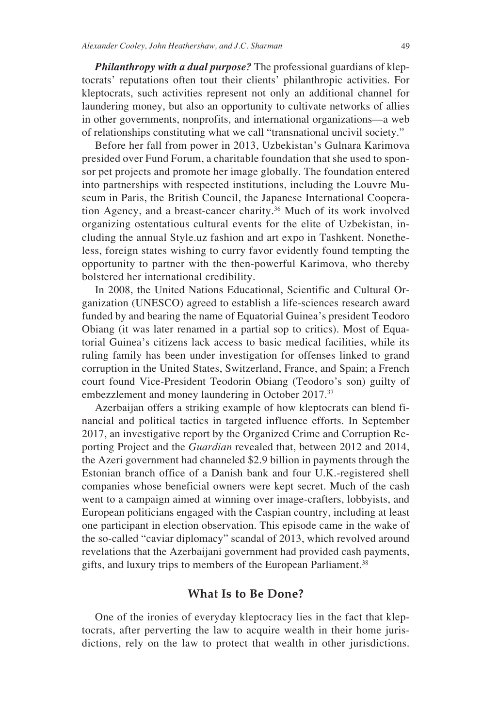*Philanthropy with a dual purpose?* The professional guardians of kleptocrats' reputations often tout their clients' philanthropic activities. For kleptocrats, such activities represent not only an additional channel for laundering money, but also an opportunity to cultivate networks of allies in other governments, nonprofits, and international organizations—a web of relationships constituting what we call "transnational uncivil society."

Before her fall from power in 2013, Uzbekistan's Gulnara Karimova presided over Fund Forum, a charitable foundation that she used to sponsor pet projects and promote her image globally. The foundation entered into partnerships with respected institutions, including the Louvre Museum in Paris, the British Council, the Japanese International Cooperation Agency, and a breast-cancer charity.36 Much of its work involved organizing ostentatious cultural events for the elite of Uzbekistan, including the annual Style.uz fashion and art expo in Tashkent. Nonetheless, foreign states wishing to curry favor evidently found tempting the opportunity to partner with the then-powerful Karimova, who thereby bolstered her international credibility.

In 2008, the United Nations Educational, Scientific and Cultural Organization (UNESCO) agreed to establish a life-sciences research award funded by and bearing the name of Equatorial Guinea's president Teodoro Obiang (it was later renamed in a partial sop to critics). Most of Equatorial Guinea's citizens lack access to basic medical facilities, while its ruling family has been under investigation for offenses linked to grand corruption in the United States, Switzerland, France, and Spain; a French court found Vice-President Teodorin Obiang (Teodoro's son) guilty of embezzlement and money laundering in October 2017.37

Azerbaijan offers a striking example of how kleptocrats can blend financial and political tactics in targeted influence efforts. In September 2017, an investigative report by the Organized Crime and Corruption Reporting Project and the *Guardian* revealed that, between 2012 and 2014, the Azeri government had channeled \$2.9 billion in payments through the Estonian branch office of a Danish bank and four U.K.-registered shell companies whose beneficial owners were kept secret. Much of the cash went to a campaign aimed at winning over image-crafters, lobbyists, and European politicians engaged with the Caspian country, including at least one participant in election observation. This episode came in the wake of the so-called "caviar diplomacy" scandal of 2013, which revolved around revelations that the Azerbaijani government had provided cash payments, gifts, and luxury trips to members of the European Parliament.<sup>38</sup>

#### **What Is to Be Done?**

One of the ironies of everyday kleptocracy lies in the fact that kleptocrats, after perverting the law to acquire wealth in their home jurisdictions, rely on the law to protect that wealth in other jurisdictions.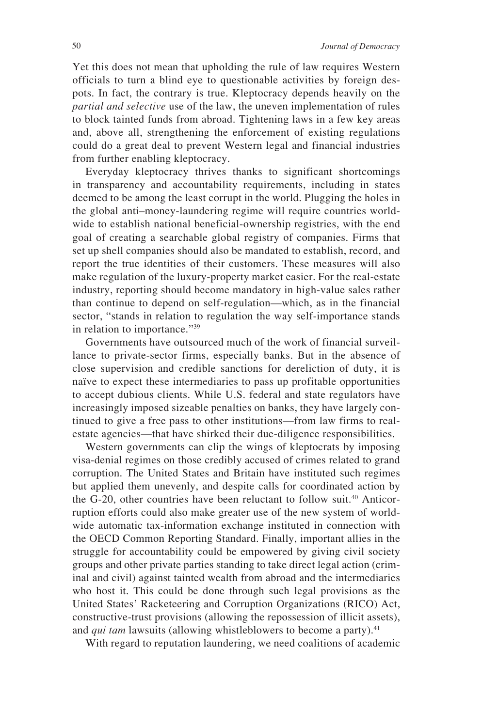Yet this does not mean that upholding the rule of law requires Western officials to turn a blind eye to questionable activities by foreign despots. In fact, the contrary is true. Kleptocracy depends heavily on the *partial and selective* use of the law, the uneven implementation of rules to block tainted funds from abroad. Tightening laws in a few key areas and, above all, strengthening the enforcement of existing regulations could do a great deal to prevent Western legal and financial industries from further enabling kleptocracy.

Everyday kleptocracy thrives thanks to significant shortcomings in transparency and accountability requirements, including in states deemed to be among the least corrupt in the world. Plugging the holes in the global anti–money-laundering regime will require countries worldwide to establish national beneficial-ownership registries, with the end goal of creating a searchable global registry of companies. Firms that set up shell companies should also be mandated to establish, record, and report the true identities of their customers. These measures will also make regulation of the luxury-property market easier. For the real-estate industry, reporting should become mandatory in high-value sales rather than continue to depend on self-regulation—which, as in the financial sector, "stands in relation to regulation the way self-importance stands in relation to importance."39

Governments have outsourced much of the work of financial surveillance to private-sector firms, especially banks. But in the absence of close supervision and credible sanctions for dereliction of duty, it is naïve to expect these intermediaries to pass up profitable opportunities to accept dubious clients. While U.S. federal and state regulators have increasingly imposed sizeable penalties on banks, they have largely continued to give a free pass to other institutions—from law firms to realestate agencies—that have shirked their due-diligence responsibilities.

Western governments can clip the wings of kleptocrats by imposing visa-denial regimes on those credibly accused of crimes related to grand corruption. The United States and Britain have instituted such regimes but applied them unevenly, and despite calls for coordinated action by the G-20, other countries have been reluctant to follow suit.40 Anticorruption efforts could also make greater use of the new system of worldwide automatic tax-information exchange instituted in connection with the OECD Common Reporting Standard. Finally, important allies in the struggle for accountability could be empowered by giving civil society groups and other private parties standing to take direct legal action (criminal and civil) against tainted wealth from abroad and the intermediaries who host it. This could be done through such legal provisions as the United States' Racketeering and Corruption Organizations (RICO) Act, constructive-trust provisions (allowing the repossession of illicit assets), and *qui tam* lawsuits (allowing whistleblowers to become a party).<sup>41</sup>

With regard to reputation laundering, we need coalitions of academic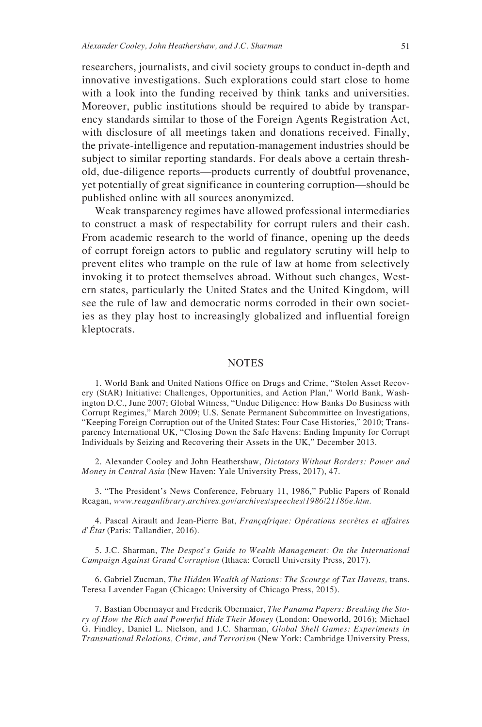researchers, journalists, and civil society groups to conduct in-depth and innovative investigations. Such explorations could start close to home with a look into the funding received by think tanks and universities. Moreover, public institutions should be required to abide by transparency standards similar to those of the Foreign Agents Registration Act, with disclosure of all meetings taken and donations received. Finally, the private-intelligence and reputation-management industries should be subject to similar reporting standards. For deals above a certain threshold, due-diligence reports—products currently of doubtful provenance, yet potentially of great significance in countering corruption—should be published online with all sources anonymized.

Weak transparency regimes have allowed professional intermediaries to construct a mask of respectability for corrupt rulers and their cash. From academic research to the world of finance, opening up the deeds of corrupt foreign actors to public and regulatory scrutiny will help to prevent elites who trample on the rule of law at home from selectively invoking it to protect themselves abroad. Without such changes, Western states, particularly the United States and the United Kingdom, will see the rule of law and democratic norms corroded in their own societies as they play host to increasingly globalized and influential foreign kleptocrats.

#### **NOTES**

1. World Bank and United Nations Office on Drugs and Crime, "Stolen Asset Recovery (StAR) Initiative: Challenges, Opportunities, and Action Plan," World Bank, Washington D.C., June 2007; Global Witness, "Undue Diligence: How Banks Do Business with Corrupt Regimes," March 2009; U.S. Senate Permanent Subcommittee on Investigations, "Keeping Foreign Corruption out of the United States: Four Case Histories," 2010; Transparency International UK, "Closing Down the Safe Havens: Ending Impunity for Corrupt Individuals by Seizing and Recovering their Assets in the UK," December 2013.

2. Alexander Cooley and John Heathershaw, *Dictators Without Borders: Power and Money in Central Asia* (New Haven: Yale University Press, 2017), 47.

3. "The President's News Conference, February 11, 1986," Public Papers of Ronald Reagan, *[www.reaganlibrary.archives.gov/archives/speeches/1986/21186e.htm]( www.reaganlibrary.archives.gov/archives/speeches/1986/21186e.htm).*

4. Pascal Airault and Jean-Pierre Bat, *Françafrique: Opérations secrètes et affaires d'État* (Paris: Tallandier, 2016).

5. J.C. Sharman, *The Despot's Guide to Wealth Management: On the International Campaign Against Grand Corruption* (Ithaca: Cornell University Press, 2017).

6. Gabriel Zucman, *The Hidden Wealth of Nations: The Scourge of Tax Havens,* trans. Teresa Lavender Fagan (Chicago: University of Chicago Press, 2015).

7. Bastian Obermayer and Frederik Obermaier, *The Panama Papers: Breaking the Story of How the Rich and Powerful Hide Their Money* (London: Oneworld, 2016); Michael G. Findley, Daniel L. Nielson, and J.C. Sharman, *Global Shell Games: Experiments in Transnational Relations, Crime, and Terrorism* (New York: Cambridge University Press,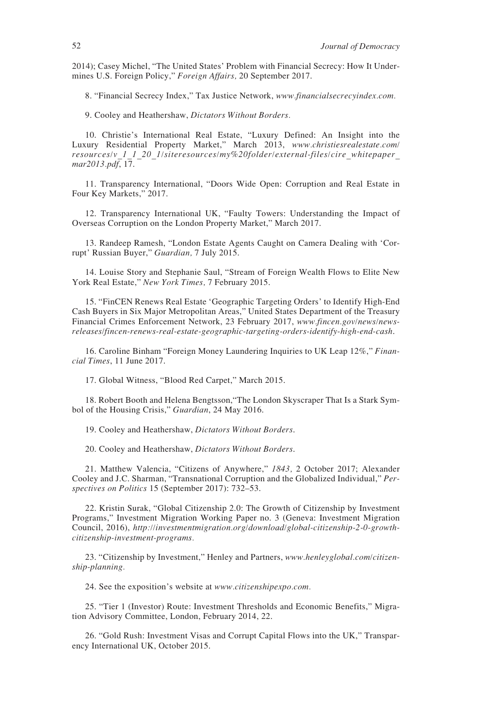2014); Casey Michel, "The United States' Problem with Financial Secrecy: How It Undermines U.S. Foreign Policy," *Foreign Affairs,* 20 September 2017.

8. "Financial Secrecy Index," Tax Justice Network, *[www.financialsecrecyindex.com.](www.financialsecrecyindex.com)*

9. Cooley and Heathershaw, *Dictators Without Borders.*

10. Christie's International Real Estate, "Luxury Defined: An Insight into the Luxury Residential Property Market," March 2013, *[www.christiesrealestate.com/](www.christiesrealestate.com/resources/v_1_1_20_1/siteresources/my%20folder/external-files/cire_whitepaper_mar2013.pdf) [resources/v\\_1\\_1\\_20\\_1/siteresources/my%20folder/external-files/cire\\_whitepaper\\_](www.christiesrealestate.com/resources/v_1_1_20_1/siteresources/my%20folder/external-files/cire_whitepaper_mar2013.pdf) [mar2013.pdf](www.christiesrealestate.com/resources/v_1_1_20_1/siteresources/my%20folder/external-files/cire_whitepaper_mar2013.pdf)*, 17.

11. Transparency International, "Doors Wide Open: Corruption and Real Estate in Four Key Markets," 2017.

12. Transparency International UK, "Faulty Towers: Understanding the Impact of Overseas Corruption on the London Property Market," March 2017.

13. Randeep Ramesh, "London Estate Agents Caught on Camera Dealing with 'Corrupt' Russian Buyer," *Guardian,* 7 July 2015.

14. Louise Story and Stephanie Saul, "Stream of Foreign Wealth Flows to Elite New York Real Estate," *New York Times,* 7 February 2015.

15. "FinCEN Renews Real Estate 'Geographic Targeting Orders' to Identify High-End Cash Buyers in Six Major Metropolitan Areas," United States Department of the Treasury Financial Crimes Enforcement Network, 23 February 2017, *[www.fincen.gov/news/news](www.fincen.gov/news/news-releases/fincen-renews-real-estate-geographic-targeting-orders-identify-high-end-cash)[releases/fincen-renews-real-estate-geographic-targeting-orders-identify-high-end-cash](www.fincen.gov/news/news-releases/fincen-renews-real-estate-geographic-targeting-orders-identify-high-end-cash)*.

16. Caroline Binham "Foreign Money Laundering Inquiries to UK Leap 12%," *Financial Times*, 11 June 2017.

17. Global Witness, "Blood Red Carpet," March 2015.

18. Robert Booth and Helena Bengtsson,"The London Skyscraper That Is a Stark Symbol of the Housing Crisis," *Guardian*, 24 May 2016.

19. Cooley and Heathershaw, *Dictators Without Borders*.

20. Cooley and Heathershaw, *Dictators Without Borders*.

21. Matthew Valencia, "Citizens of Anywhere," *1843,* 2 October 2017; Alexander Cooley and J.C. Sharman, "Transnational Corruption and the Globalized Individual," *Perspectives on Politics* 15 (September 2017): 732–53.

22. Kristin Surak, "Global Citizenship 2.0: The Growth of Citizenship by Investment Programs," Investment Migration Working Paper no. 3 (Geneva: Investment Migration Council, 2016), *[http://investmentmigration.org/download/global-citizenship-2-0-growth](http://investmentmigration.org/download/global-citizenship-2-0-growth-citizenship-investment-programs)[citizenship-investment-programs.](http://investmentmigration.org/download/global-citizenship-2-0-growth-citizenship-investment-programs)*

23. "Citizenship by Investment," Henley and Partners, *[www.henleyglobal.com/citizen](www.henleyglobal.com/citizenship-planning)[ship-planning.](www.henleyglobal.com/citizenship-planning)*

24. See the exposition's website at *[www.citizenshipexpo.com.](www.citizenshipexpo.com)*

25. "Tier 1 (Investor) Route: Investment Thresholds and Economic Benefits," Migration Advisory Committee, London, February 2014, 22.

26. "Gold Rush: Investment Visas and Corrupt Capital Flows into the UK," Transparency International UK, October 2015.